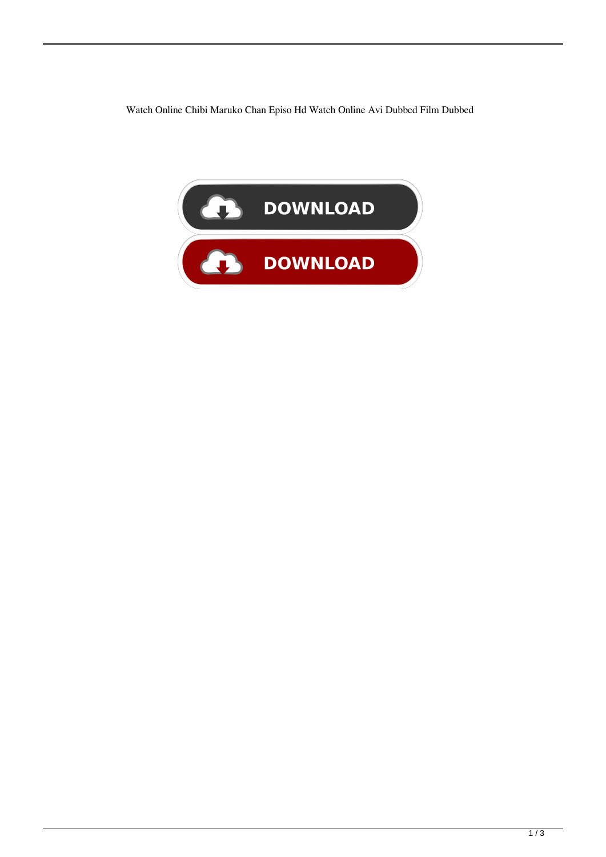Watch Online Chibi Maruko Chan Episo Hd Watch Online Avi Dubbed Film Dubbed

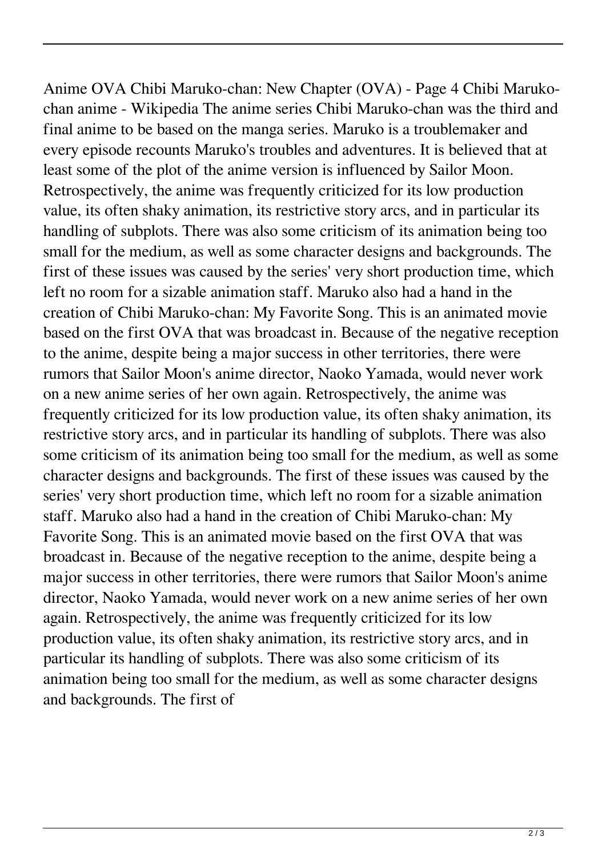Anime OVA Chibi Maruko-chan: New Chapter (OVA) - Page 4 Chibi Marukochan anime - Wikipedia The anime series Chibi Maruko-chan was the third and final anime to be based on the manga series. Maruko is a troublemaker and every episode recounts Maruko's troubles and adventures. It is believed that at least some of the plot of the anime version is influenced by Sailor Moon. Retrospectively, the anime was frequently criticized for its low production value, its often shaky animation, its restrictive story arcs, and in particular its handling of subplots. There was also some criticism of its animation being too small for the medium, as well as some character designs and backgrounds. The first of these issues was caused by the series' very short production time, which left no room for a sizable animation staff. Maruko also had a hand in the creation of Chibi Maruko-chan: My Favorite Song. This is an animated movie based on the first OVA that was broadcast in. Because of the negative reception to the anime, despite being a major success in other territories, there were rumors that Sailor Moon's anime director, Naoko Yamada, would never work on a new anime series of her own again. Retrospectively, the anime was frequently criticized for its low production value, its often shaky animation, its restrictive story arcs, and in particular its handling of subplots. There was also some criticism of its animation being too small for the medium, as well as some character designs and backgrounds. The first of these issues was caused by the series' very short production time, which left no room for a sizable animation staff. Maruko also had a hand in the creation of Chibi Maruko-chan: My Favorite Song. This is an animated movie based on the first OVA that was broadcast in. Because of the negative reception to the anime, despite being a major success in other territories, there were rumors that Sailor Moon's anime director, Naoko Yamada, would never work on a new anime series of her own again. Retrospectively, the anime was frequently criticized for its low production value, its often shaky animation, its restrictive story arcs, and in particular its handling of subplots. There was also some criticism of its animation being too small for the medium, as well as some character designs and backgrounds. The first of